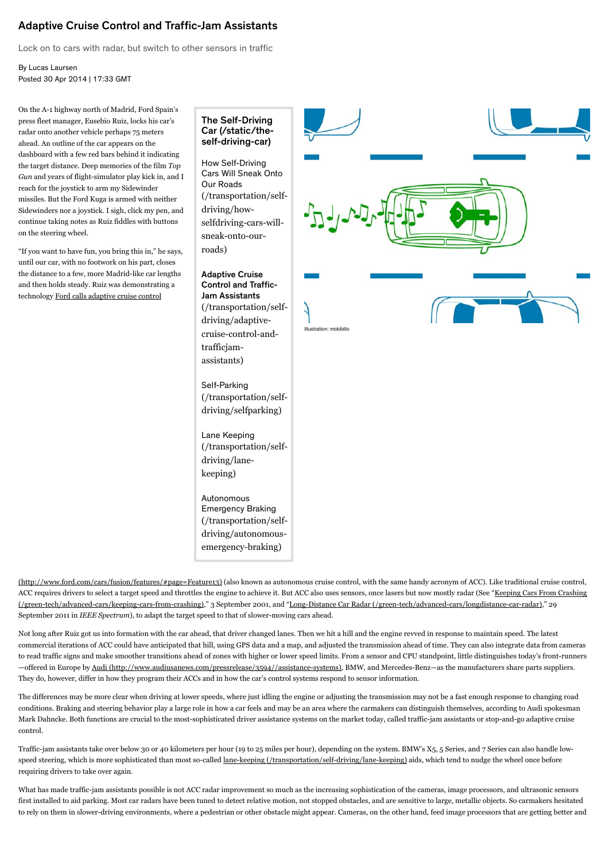## Adaptive Cruise Control and Traffic-Jam Assistants

Lock on to cars with radar, but switch to other sensors in traffic

By Lucas Laursen Posted 30 Apr 2014 | 17:33 GMT

On the A-1 highway north of Madrid, Ford Spain's press fleet manager, Eusebio Ruiz, locks his car's radar onto another vehicle perhaps 75 meters ahead. An outline of the car appears on the dashboard with a few red bars behind it indicating the target distance. Deep memories of the film *Top* Gun and years of flight-simulator play kick in, and I reach for the joystick to arm my Sidewinder missiles. But the Ford Kuga is armed with neither Sidewinders nor a joystick. I sigh, click my pen, and continue taking notes as Ruiz fiddles with buttons on the steering wheel.

"If you want to have fun, you bring this in," he says, until our car, with no footwork on his part, closes the distance to a few, more Madrid-like car lengths and then holds steady. Ruiz was demonstrating a technology Ford calls adaptive cruise control

The Self-Driving [Car \(/static/the](http://spectrum.ieee.org/static/the-self-driving-car)self-driving-car)

How Self-Driving Cars Will Sneak Onto Our Roads [\(/transportation/self](http://spectrum.ieee.org/transportation/self-driving/how-selfdriving-cars-will-sneak-onto-our-roads)driving/howselfdriving-cars-willsneak-onto-ourroads)

Adaptive Cruise Control and Traffic-Jam Assistants [\(/transportation/self](http://spectrum.ieee.org/transportation/self-driving/adaptive-cruise-control-and-trafficjam-assistants)driving/adaptivecruise-control-andtrafficjamassistants)

Self-Parking [\(/transportation/self](http://spectrum.ieee.org/transportation/self-driving/selfparking)driving/selfparking)

Lane Keeping [\(/transportation/self](http://spectrum.ieee.org/transportation/self-driving/lane-keeping)driving/lanekeeping)

Autonomous Emergency Braking [\(/transportation/self](http://spectrum.ieee.org/transportation/self-driving/autonomous-emergency-braking)driving/autonomousemergency-braking)



[\(http://www.ford.com/cars/fusion/features/#page=Feature13\)](http://www.ford.com/cars/fusion/features/#page=Feature13) (also known as autonomous cruise control, with the same handy acronym of ACC). Like traditional cruise control, [ACC requires drivers to select a target speed and throttles the engine to achieve it. But ACC also uses sensors, once lasers but now mostly radar \(See "](http://spectrum.ieee.org/green-tech/advanced-cars/keeping-cars-from-crashing)Keeping Cars From Crashing (/green-tech/advanced-cars/keeping-cars-from-crashing)," 3 September 2001, and "<u>[Long-Distance Car Radar \(/green-tech/advanced-cars/longdistance-car-radar\)](http://spectrum.ieee.org/green-tech/advanced-cars/longdistance-car-radar)</u>," 29 September 2011 in *IEEE Spectrum*), to adapt the target speed to that of slower-moving cars ahead.

Not long after Ruiz got us into formation with the car ahead, that driver changed lanes. Then we hit a hill and the engine revved in response to maintain speed. The latest commercial iterations of ACC could have anticipated that hill, using GPS data and a map, and adjusted the transmission ahead of time. They can also integrate data from cameras to read traffic signs and make smoother transitions ahead of zones with higher or lower speed limits. From a sensor and CPU standpoint, little distinguishes today's front-runners -offered in Europe by Audi (http://www.audiusanews.com/pressrelease/3594//assistance-systems)[,](http://www.audiusanews.com/pressrelease/3594//assistance-systems) BMW, and Mercedes-Benz-as the manufacturers share parts suppliers. They do, however, differ in how they program their ACCs and in how the car's control systems respond to sensor information.

The differences may be more clear when driving at lower speeds, where just idling the engine or adjusting the transmission may not be a fast enough response to changing road conditions. Braking and steering behavior play a large role in how a car feels and may be an area where the carmakers can distinguish themselves, according to Audi spokesman Mark Dahncke. Both functions are crucial to the most-sophisticated driver assistance systems on the market today, called traffic-jam assistants or stop-and-go adaptive cruise control.

Traffic-jam assistants take over below 30 or 40 kilometers per hour (19 to 25 miles per hour), depending on the system. BMW's X5, 5 Series, and 7 Series can also handle lowspeedsteering, which is more sophisticated than most so-called <u>lane-keeping (/transportation/self-driving/lane-keeping</u>) aids, which tend to nudge the wheel once before requiring drivers to take over again.

What has made traffic-jam assistants possible is not ACC radar improvement so much as the increasing sophistication of the cameras, image processors, and ultrasonic sensors first installed to aid parking. Most car radars have been tuned to detect relative motion, not stopped obstacles, and are sensitive to large, metallic objects. So carmakers hesitated to rely on them in slower-driving environments, where a pedestrian or other obstacle might appear. Cameras, on the other hand, feed image processors that are getting better and